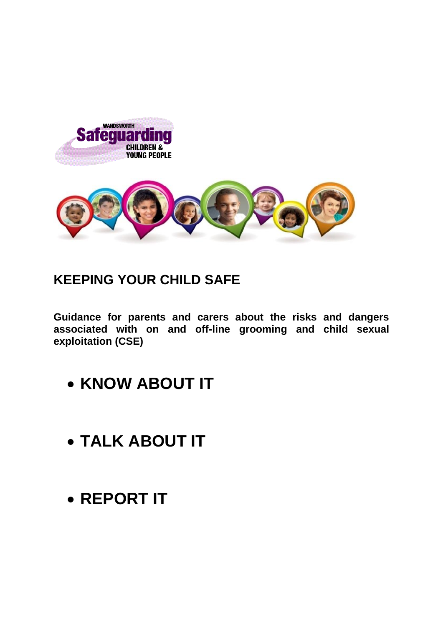

## **KEEPING YOUR CHILD SAFE**

**Guidance for parents and carers about the risks and dangers associated with on and off-line grooming and child sexual exploitation (CSE)**

- **KNOW ABOUT IT**
- **TALK ABOUT IT**
- **REPORT IT**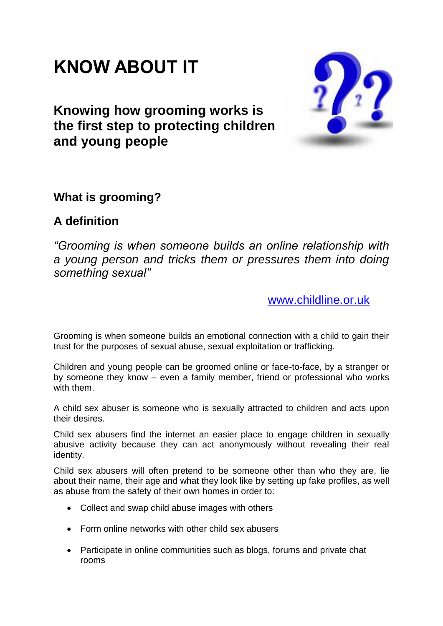## **KNOW ABOUT IT**

## **Knowing how grooming works is the first step to protecting children and young people**



### **What is grooming?**

### **A definition**

*"Grooming is when someone builds an online relationship with a young person and tricks them or pressures them into doing something sexual"*

[www.childline.or.uk](http://www.childline.or.uk/)

Grooming is when someone builds an emotional connection with a child to gain their trust for the purposes of sexual abuse, sexual exploitation or trafficking.

Children and young people can be groomed online or face-to-face, by a stranger or by someone they know – even a family member, friend or professional who works with them.

A child sex abuser is someone who is sexually attracted to children and acts upon their desires.

Child sex abusers find the internet an easier place to engage children in sexually abusive activity because they can act anonymously without revealing their real identity.

Child sex abusers will often pretend to be someone other than who they are, lie about their name, their age and what they look like by setting up fake profiles, as well as abuse from the safety of their own homes in order to:

- Collect and swap child abuse images with others
- Form online networks with other child sex abusers
- Participate in online communities such as blogs, forums and private chat rooms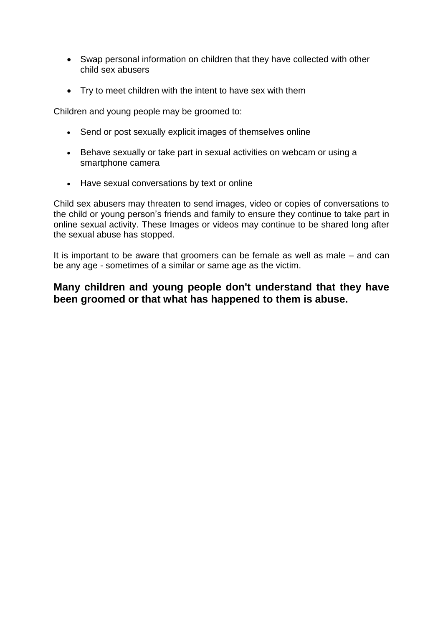- Swap personal information on children that they have collected with other child sex abusers
- Try to meet children with the intent to have sex with them

Children and young people may be groomed to:

- Send or post sexually explicit images of themselves online
- Behave sexually or take part in sexual activities on webcam or using a smartphone camera
- Have sexual conversations by text or online

Child sex abusers may threaten to send images, video or copies of conversations to the child or young person's friends and family to ensure they continue to take part in online sexual activity. These Images or videos may continue to be shared long after the sexual abuse has stopped.

It is important to be aware that groomers can be female as well as male – and can be any age - sometimes of a similar or same age as the victim.

#### **Many children and young people don't understand that they have been groomed or that what has happened to them is abuse.**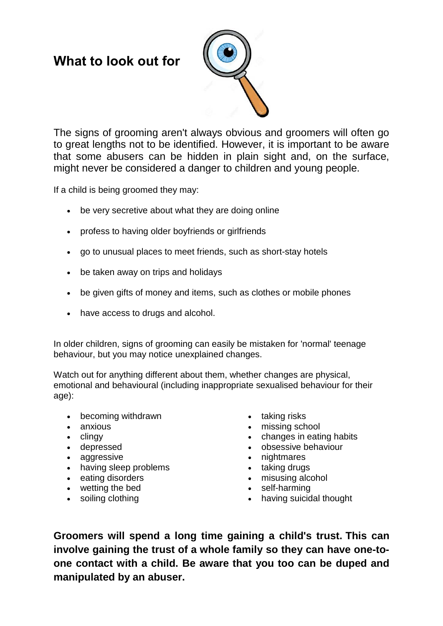## **What to look out for**



The signs of grooming aren't always obvious and groomers will often go to great lengths not to be identified. However, it is important to be aware that some abusers can be hidden in plain sight and, on the surface, might never be considered a danger to children and young people.

If a child is being groomed they may:

- be very secretive about what they are doing online
- profess to having older boyfriends or girlfriends
- go to unusual places to meet friends, such as short-stay hotels
- be taken away on trips and holidays
- be given gifts of money and items, such as clothes or mobile phones
- have access to drugs and alcohol.

In older children, signs of grooming can easily be mistaken for 'normal' teenage behaviour, but you may notice unexplained changes.

Watch out for anything different about them, whether changes are physical, emotional and behavioural (including inappropriate sexualised behaviour for their age):

- becoming withdrawn
- anxious
- $\bullet$  clingy
- depressed
- aggressive
- having sleep problems
- eating disorders
- wetting the bed
- soiling clothing
- taking risks
- missing school
- changes in eating habits
- obsessive behaviour
- nightmares
- taking drugs
- misusing alcohol
- self-harming
- having suicidal thought

**Groomers will spend a long time gaining a child's trust. This can involve gaining the trust of a whole family so they can have one-toone contact with a child. Be aware that you too can be duped and manipulated by an abuser.**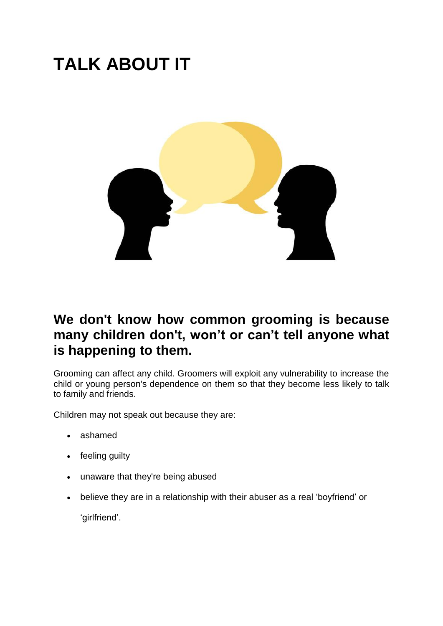# **TALK ABOUT IT**



### **We don't know how common grooming is because many children don't, won't or can't tell anyone what is happening to them.**

Grooming can affect any child. Groomers will exploit any vulnerability to increase the child or young person's dependence on them so that they become less likely to talk to family and friends.

Children may not speak out because they are:

- ashamed
- feeling guilty
- unaware that they're being abused
- believe they are in a relationship with their abuser as a real 'boyfriend' or

'girlfriend'.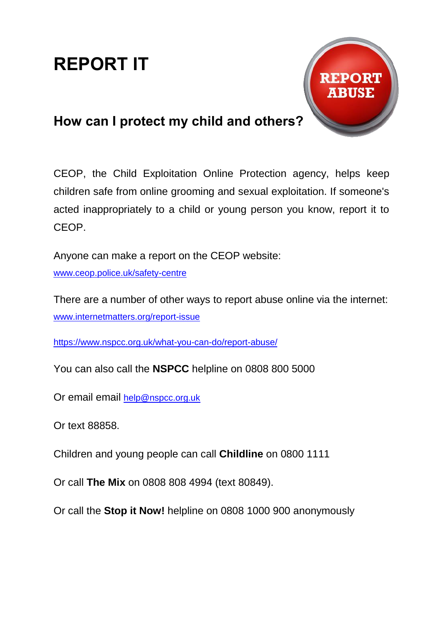# **REPORT IT**



## **How can I protect my child and others?**

CEOP, the Child Exploitation Online Protection agency, helps keep children safe from online grooming and sexual exploitation. If someone's acted inappropriately to a child or young person you know, report it to CEOP.

Anyone can make a report on the CEOP website:

[www.ceop.police.uk/safety-centre](http://www.ceop.police.uk/safety-centre)

There are a number of other ways to report abuse online via the internet: [www.internetmatters.org/report-issue](http://www.internetmatters.org/report-issue)

<https://www.nspcc.org.uk/what-you-can-do/report-abuse/>

You can also call the **NSPCC** helpline on [0808 800 5000](tel:0808%20800%205000)

Or email email [help@nspcc.org.uk](mailto:help@nspcc.org.uk)

Or text 88858.

Children and young people can call **[Childline](http://www.childline.org.uk/)** on 0800 1111

Or call **[The Mix](http://www.themix.org.uk/)** on 0808 808 4994 (text 80849).

Or call the **Stop it Now!** helpline on 0808 1000 900 anonymously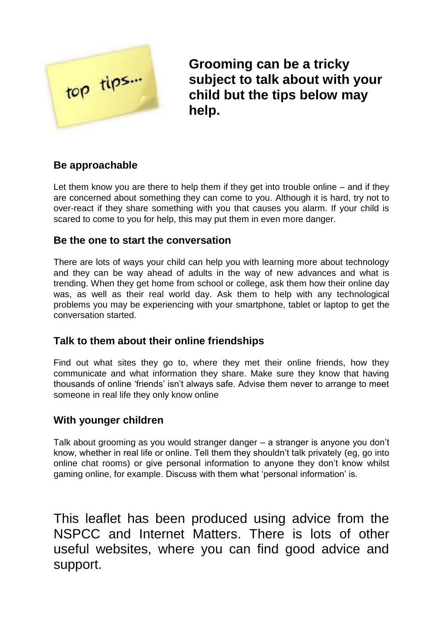

**Grooming can be a tricky subject to talk about with your child but the tips below may help.**

#### **Be approachable**

Let them know you are there to help them if they get into trouble online – and if they are concerned about something they can come to you. Although it is hard, try not to over-react if they share something with you that causes you alarm. If your child is scared to come to you for help, this may put them in even more danger.

#### **Be the one to start the conversation**

There are lots of ways your child can help you with learning more about technology and they can be way ahead of adults in the way of new advances and what is trending. When they get home from school or college, ask them how their online day was, as well as their real world day. Ask them to help with any technological problems you may be experiencing with your smartphone, tablet or laptop to get the conversation started.

#### **Talk to them about their online friendships**

Find out what sites they go to, where they met their online friends, how they communicate and what information they share. Make sure they know that having thousands of online 'friends' isn't always safe. Advise them never to arrange to meet someone in real life they only know online

#### **With younger children**

Talk about grooming as you would stranger danger – a stranger is anyone you don't know, whether in real life or online. Tell them they shouldn't talk privately (eg, go into online chat rooms) or give personal information to anyone they don't know whilst gaming online, for example. Discuss with them what 'personal information' is.

This leaflet has been produced using advice from the NSPCC and Internet Matters. There is lots of other useful websites, where you can find good advice and support.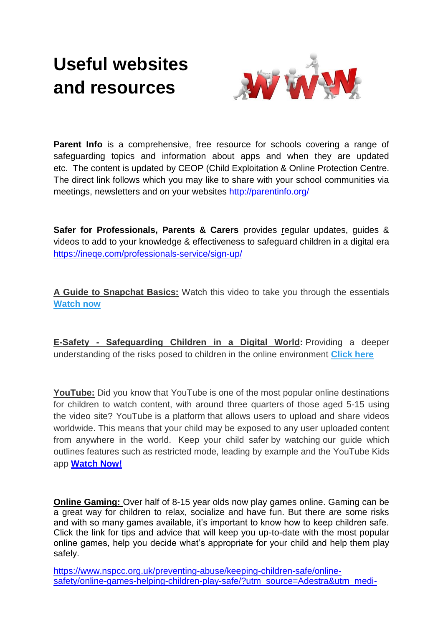## **Useful websites and resources**



**Parent Info** is a comprehensive, free resource for schools covering a range of safeguarding topics and information about apps and when they are updated etc. The content is updated by CEOP (Child Exploitation & Online Protection Centre. The direct link follows which you may like to share with your school communities via meetings, newsletters and on your websites<http://parentinfo.org/>

**Safer for Professionals, Parents & Carers** provides regular updates, guides & videos to add to your knowledge & effectiveness to safeguard children in a digital era <https://ineqe.com/professionals-service/sign-up/>

**A Guide to Snapchat Basics:** Watch this video to take you through the essentials **[Watch now](http://ineqe.us7.list-manage2.com/track/click?u=8c3ff982b241ebd9256f18e39&id=ffb427c458&e=6fc9dab585)**

**E-Safety - Safeguarding Children in a Digital World:** Providing a deeper understanding of the risks posed to children in the online environment **[Click here](http://ineqe.us7.list-manage.com/track/click?u=8c3ff982b241ebd9256f18e39&id=df54e6e92b&e=6fc9dab585)**

**YouTube:** Did you know that YouTube is one of the most popular online destinations for children to watch content, with around three quarters of those aged 5-15 using the video site? YouTube is a platform that allows users to upload and share videos worldwide. This means that your child may be exposed to any user uploaded content from anywhere in the world. Keep your child safer by watching our guide which outlines features such as restricted mode, leading by example and the YouTube Kids app **[Watch Now!](http://ineqe.us7.list-manage.com/track/click?u=8c3ff982b241ebd9256f18e39&id=072cbcb5df&e=6fc9dab585)**

**Online Gaming:** Over half of 8-15 year olds now play games online. Gaming can be a great way for children to relax, socialize and have fun. But there are some risks and with so many games available, it's important to know how to keep children safe. Click the link for tips and advice that will keep you up-to-date with the most popular online games, help you decide what's appropriate for your child and help them play safely.

[https://www.nspcc.org.uk/preventing-abuse/keeping-children-safe/online](https://www.nspcc.org.uk/prevent%1fing-abuse/keeping-children-safe/on%1fline-safety/online-games-helping-children-play-safe/?utm_source=Adestra&utm_medi%1fum=email&utm_content=5%20gaming%20)[safety/online-games-helping-children-play-safe/?utm\\_source=Adestra&utm\\_medi-](https://www.nspcc.org.uk/prevent%1fing-abuse/keeping-children-safe/on%1fline-safety/online-games-helping-children-play-safe/?utm_source=Adestra&utm_medi%1fum=email&utm_content=5%20gaming%20)